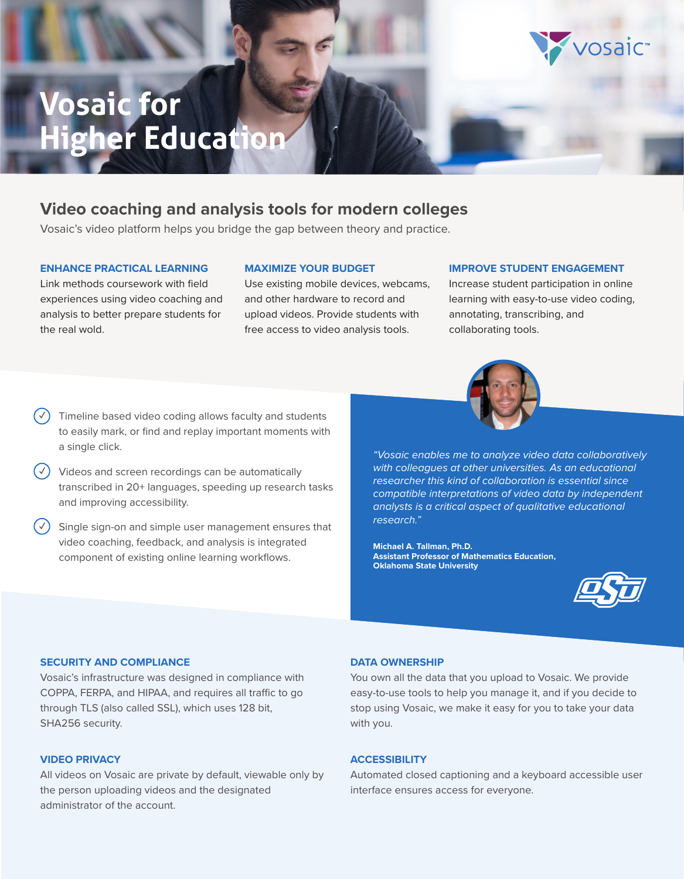# **Vosaic for Higher Education**

# **Video coaching and analysis tools for modern colleges**

Vosaic's video platform helps you bridge the gap between theory and practice.

#### **ENHANCE PRACTICAL LEARNING**

Link methods coursework with field experiences using video coaching and analysis to better prepare students for the real wold.

Use existing mobile devices, webcams, and other hardware to record and upload videos. Provide students with free access to video analysis tools.

**MAXIMIZE YOUR BUDGET**

#### **IMPROVE STUDENT ENGAGEMENT**

Increase student participation in online learning with easy-to-use video coding, annotating, transcribing, and collaborating tools.

- **✓** Timeline based video coding allows faculty and students to easily mark, or find and replay important moments with a single click.
- **✓** Videos and screen recordings can be automatically transcribed in 20+ languages, speeding up research tasks and improving accessibility.
- Single sign-on and simple user management ensures that video coaching, feedback, and analysis is integrated component of existing online learning workflows.



*"Vosaic enables me to analyze video data collaboratively with colleagues at other universities. As an educational researcher this kind of collaboration is essential since compatible interpretations of video data by independent analysts is a critical aspect of qualitative educational research."*

**Michael A. Tallman, Ph.D. Assistant Professor of Mathematics Education, Oklahoma State University**



vosaic<sup>®</sup>

#### **SECURITY AND COMPLIANCE**

Vosaic's infrastructure was designed in compliance with COPPA, FERPA, and HIPAA, and requires all traffic to go through TLS (also called SSL), which uses 128 bit, SHA256 security.

#### **VIDEO PRIVACY**

All videos on Vosaic are private by default, viewable only by the person uploading videos and the designated administrator of the account.

#### **DATA OWNERSHIP**

You own all the data that you upload to Vosaic. We provide easy-to-use tools to help you manage it, and if you decide to stop using Vosaic, we make it easy for you to take your data with you.

#### **ACCESSIBILITY**

Automated closed captioning and a keyboard accessible user interface ensures access for everyone.